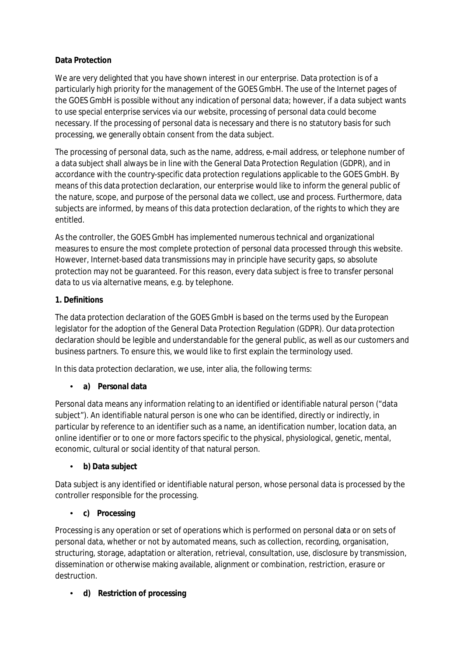## **Data Protection**

We are very delighted that you have shown interest in our enterprise. Data protection is of a particularly high priority for the management of the GOES GmbH. The use of the Internet pages of the GOES GmbH is possible without any indication of personal data; however, if a data subject wants to use special enterprise services via our website, processing of personal data could become necessary. If the processing of personal data is necessary and there is no statutory basis for such processing, we generally obtain consent from the data subject.

The processing of personal data, such as the name, address, e-mail address, or telephone number of a data subject shall always be in line with the General Data Protection Regulation (GDPR), and in accordance with the country-specific data protection regulations applicable to the GOES GmbH. By means of this data protection declaration, our enterprise would like to inform the general public of the nature, scope, and purpose of the personal data we collect, use and process. Furthermore, data subjects are informed, by means of this data protection declaration, of the rights to which they are entitled.

As the controller, the GOES GmbH has implemented numerous technical and organizational measures to ensure the most complete protection of personal data processed through this website. However, Internet-based data transmissions may in principle have security gaps, so absolute protection may not be guaranteed. For this reason, every data subject is free to transfer personal data to us via alternative means, e.g. by telephone.

## **1. Definitions**

The data protection declaration of the GOES GmbH is based on the terms used by the European legislator for the adoption of the General Data Protection Regulation (GDPR). Our data protection declaration should be legible and understandable for the general public, as well as our customers and business partners. To ensure this, we would like to first explain the terminology used.

In this data protection declaration, we use, inter alia, the following terms:

## • **a) Personal data**

Personal data means any information relating to an identified or identifiable natural person ("data subject"). An identifiable natural person is one who can be identified, directly or indirectly, in particular by reference to an identifier such as a name, an identification number, location data, an online identifier or to one or more factors specific to the physical, physiological, genetic, mental, economic, cultural or social identity of that natural person.

### • **b) Data subject**

Data subject is any identified or identifiable natural person, whose personal data is processed by the controller responsible for the processing.

### • **c) Processing**

Processing is any operation or set of operations which is performed on personal data or on sets of personal data, whether or not by automated means, such as collection, recording, organisation, structuring, storage, adaptation or alteration, retrieval, consultation, use, disclosure by transmission, dissemination or otherwise making available, alignment or combination, restriction, erasure or destruction.

### • **d) Restriction of processing**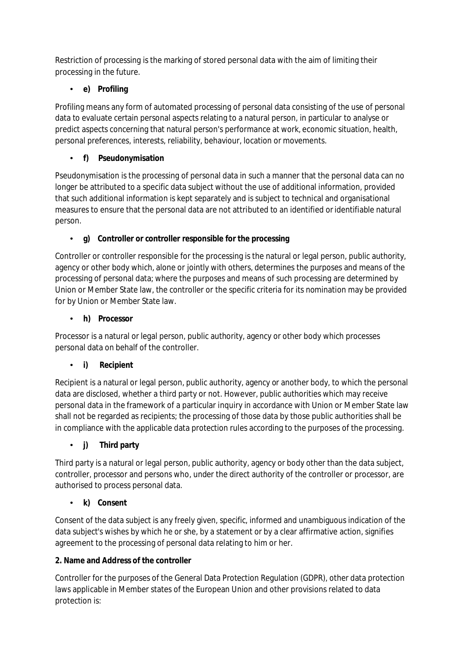Restriction of processing is the marking of stored personal data with the aim of limiting their processing in the future.

# • **e) Profiling**

Profiling means any form of automated processing of personal data consisting of the use of personal data to evaluate certain personal aspects relating to a natural person, in particular to analyse or predict aspects concerning that natural person's performance at work, economic situation, health, personal preferences, interests, reliability, behaviour, location or movements.

## • **f) Pseudonymisation**

Pseudonymisation is the processing of personal data in such a manner that the personal data can no longer be attributed to a specific data subject without the use of additional information, provided that such additional information is kept separately and is subject to technical and organisational measures to ensure that the personal data are not attributed to an identified or identifiable natural person.

## • **g) Controller or controller responsible for the processing**

Controller or controller responsible for the processing is the natural or legal person, public authority, agency or other body which, alone or jointly with others, determines the purposes and means of the processing of personal data; where the purposes and means of such processing are determined by Union or Member State law, the controller or the specific criteria for its nomination may be provided for by Union or Member State law.

## • **h) Processor**

Processor is a natural or legal person, public authority, agency or other body which processes personal data on behalf of the controller.

## • **i) Recipient**

Recipient is a natural or legal person, public authority, agency or another body, to which the personal data are disclosed, whether a third party or not. However, public authorities which may receive personal data in the framework of a particular inquiry in accordance with Union or Member State law shall not be regarded as recipients; the processing of those data by those public authorities shall be in compliance with the applicable data protection rules according to the purposes of the processing.

## • **j) Third party**

Third party is a natural or legal person, public authority, agency or body other than the data subject, controller, processor and persons who, under the direct authority of the controller or processor, are authorised to process personal data.

## • **k) Consent**

Consent of the data subject is any freely given, specific, informed and unambiguous indication of the data subject's wishes by which he or she, by a statement or by a clear affirmative action, signifies agreement to the processing of personal data relating to him or her.

## **2. Name and Address of the controller**

Controller for the purposes of the General Data Protection Regulation (GDPR), other data protection laws applicable in Member states of the European Union and other provisions related to data protection is: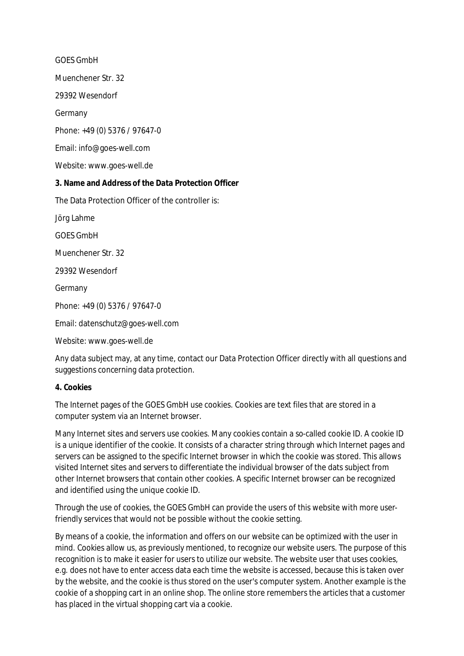GOES GmbH

Muenchener Str. 32

29392 Wesendorf

Germany

Phone: +49 (0) 5376 / 97647-0

Email: info@goes-well.com

Website: [www.goes-well.de](http://www.goes-well.de)

#### **3. Name and Address of the Data Protection Officer**

The Data Protection Officer of the controller is:

Jörg Lahme

GOES GmbH

Muenchener Str. 32

29392 Wesendorf

Germany

Phone: +49 (0) 5376 / 97647-0

Email: datenschutz@goes-well.com

Website: [www.goes-well.de](http://www.goes-well.de)

Any data subject may, at any time, contact our Data Protection Officer directly with all questions and suggestions concerning data protection.

#### **4. Cookies**

The Internet pages of the GOES GmbH use cookies. Cookies are text files that are stored in a computer system via an Internet browser.

Many Internet sites and servers use cookies. Many cookies contain a so-called cookie ID. A cookie ID is a unique identifier of the cookie. It consists of a character string through which Internet pages and servers can be assigned to the specific Internet browser in which the cookie was stored. This allows visited Internet sites and servers to differentiate the individual browser of the dats subject from other Internet browsers that contain other cookies. A specific Internet browser can be recognized and identified using the unique cookie ID.

Through the use of cookies, the GOES GmbH can provide the users of this website with more userfriendly services that would not be possible without the cookie setting.

By means of a cookie, the information and offers on our website can be optimized with the user in mind. Cookies allow us, as previously mentioned, to recognize our website users. The purpose of this recognition is to make it easier for users to utilize our website. The website user that uses cookies, e.g. does not have to enter access data each time the website is accessed, because this is taken over by the website, and the cookie is thus stored on the user's computer system. Another example is the cookie of a shopping cart in an online shop. The online store remembers the articles that a customer has placed in the virtual shopping cart via a cookie.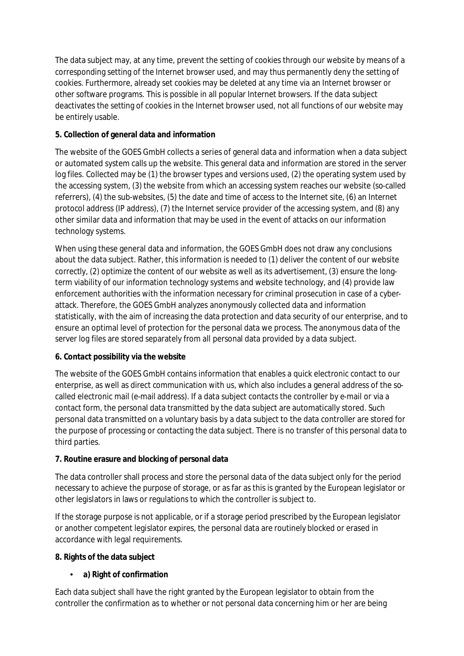The data subject may, at any time, prevent the setting of cookies through our website by means of a corresponding setting of the Internet browser used, and may thus permanently deny the setting of cookies. Furthermore, already set cookies may be deleted at any time via an Internet browser or other software programs. This is possible in all popular Internet browsers. If the data subject deactivates the setting of cookies in the Internet browser used, not all functions of our website may be entirely usable.

## **5. Collection of general data and information**

The website of the GOES GmbH collects a series of general data and information when a data subject or automated system calls up the website. This general data and information are stored in the server log files. Collected may be (1) the browser types and versions used, (2) the operating system used by the accessing system, (3) the website from which an accessing system reaches our website (so-called referrers), (4) the sub-websites, (5) the date and time of access to the Internet site, (6) an Internet protocol address (IP address), (7) the Internet service provider of the accessing system, and (8) any other similar data and information that may be used in the event of attacks on our information technology systems.

When using these general data and information, the GOES GmbH does not draw any conclusions about the data subject. Rather, this information is needed to (1) deliver the content of our website correctly, (2) optimize the content of our website as well as its advertisement, (3) ensure the longterm viability of our information technology systems and website technology, and (4) provide law enforcement authorities with the information necessary for criminal prosecution in case of a cyber attack. Therefore, the GOES GmbH analyzes anonymously collected data and information statistically, with the aim of increasing the data protection and data security of our enterprise, and to ensure an optimal level of protection for the personal data we process. The anonymous data of the server log files are stored separately from all personal data provided by a data subject.

### **6. Contact possibility via the website**

The website of the GOES GmbH contains information that enables a quick electronic contact to our enterprise, as well as direct communication with us, which also includes a general address of the socalled electronic mail (e-mail address). If a data subject contacts the controller by e-mail or via a contact form, the personal data transmitted by the data subject are automatically stored. Such personal data transmitted on a voluntary basis by a data subject to the data controller are stored for the purpose of processing or contacting the data subject. There is no transfer of this personal data to third parties.

### **7. Routine erasure and blocking of personal data**

The data controller shall process and store the personal data of the data subject only for the period necessary to achieve the purpose of storage, or as far as this is granted by the European legislator or other legislators in laws or regulations to which the controller is subject to.

If the storage purpose is not applicable, or if a storage period prescribed by the European legislator or another competent legislator expires, the personal data are routinely blocked or erased in accordance with legal requirements.

### **8. Rights of the data subject**

## • **a) Right of confirmation**

Each data subject shall have the right granted by the European legislator to obtain from the controller the confirmation as to whether or not personal data concerning him or her are being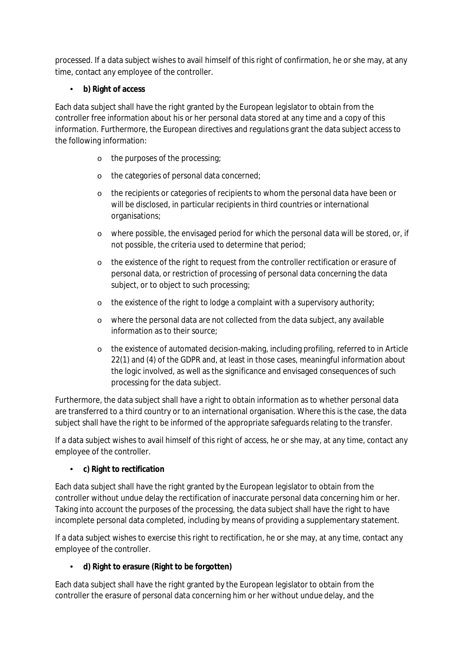processed. If a data subject wishes to avail himself of this right of confirmation, he or she may, at any time, contact any employee of the controller.

## • **b) Right of access**

Each data subject shall have the right granted by the European legislator to obtain from the controller free information about his or her personal data stored at any time and a copy of this information. Furthermore, the European directives and regulations grant the data subject access to the following information:

- o the purposes of the processing;
- o the categories of personal data concerned;
- o the recipients or categories of recipients to whom the personal data have been or will be disclosed, in particular recipients in third countries or international organisations;
- o where possible, the envisaged period for which the personal data will be stored, or, if not possible, the criteria used to determine that period;
- o the existence of the right to request from the controller rectification or erasure of personal data, or restriction of processing of personal data concerning the data subject, or to object to such processing;
- o the existence of the right to lodge a complaint with a supervisory authority;
- o where the personal data are not collected from the data subject, any available information as to their source;
- o the existence of automated decision-making, including profiling, referred to in Article 22(1) and (4) of the GDPR and, at least in those cases, meaningful information about the logic involved, as well as the significance and envisaged consequences of such processing for the data subject.

Furthermore, the data subject shall have a right to obtain information as to whether personal data are transferred to a third country or to an international organisation. Where this is the case, the data subject shall have the right to be informed of the appropriate safeguards relating to the transfer.

If a data subject wishes to avail himself of this right of access, he or she may, at any time, contact any employee of the controller.

## • **c) Right to rectification**

Each data subject shall have the right granted by the European legislator to obtain from the controller without undue delay the rectification of inaccurate personal data concerning him or her. Taking into account the purposes of the processing, the data subject shall have the right to have incomplete personal data completed, including by means of providing a supplementary statement.

If a data subject wishes to exercise this right to rectification, he or she may, at any time, contact any employee of the controller.

## • **d) Right to erasure (Right to be forgotten)**

Each data subject shall have the right granted by the European legislator to obtain from the controller the erasure of personal data concerning him or her without undue delay, and the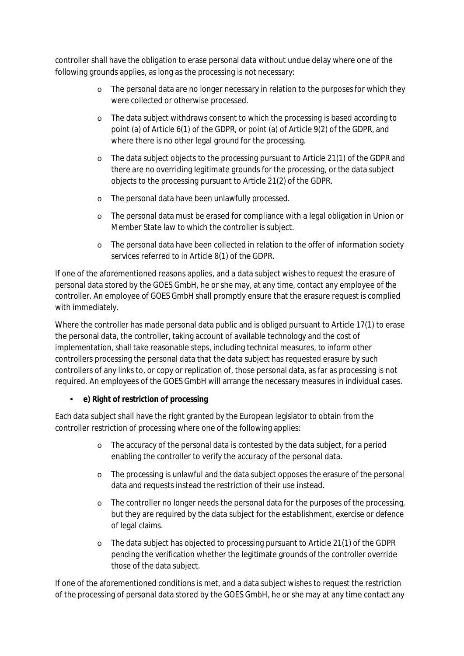controller shall have the obligation to erase personal data without undue delay where one of the following grounds applies, as long as the processing is not necessary:

- o The personal data are no longer necessary in relation to the purposes for which they were collected or otherwise processed.
- o The data subject withdraws consent to which the processing is based according to point (a) of Article 6(1) of the GDPR, or point (a) of Article 9(2) of the GDPR, and where there is no other legal ground for the processing.
- o The data subject objects to the processing pursuant to Article 21(1) of the GDPR and there are no overriding legitimate grounds for the processing, or the data subject objects to the processing pursuant to Article 21(2) of the GDPR.
- o The personal data have been unlawfully processed.
- o The personal data must be erased for compliance with a legal obligation in Union or Member State law to which the controller is subject.
- o The personal data have been collected in relation to the offer of information society services referred to in Article 8(1) of the GDPR.

If one of the aforementioned reasons applies, and a data subject wishes to request the erasure of personal data stored by the GOES GmbH, he or she may, at any time, contact any employee of the controller. An employee of GOES GmbH shall promptly ensure that the erasure request is complied with immediately.

Where the controller has made personal data public and is obliged pursuant to Article 17(1) to erase the personal data, the controller, taking account of available technology and the cost of implementation, shall take reasonable steps, including technical measures, to inform other controllers processing the personal data that the data subject has requested erasure by such controllers of any links to, or copy or replication of, those personal data, as far as processing is not required. An employees of the GOES GmbH will arrange the necessary measures in individual cases.

### • **e) Right of restriction of processing**

Each data subject shall have the right granted by the European legislator to obtain from the controller restriction of processing where one of the following applies:

- o The accuracy of the personal data is contested by the data subject, for a period enabling the controller to verify the accuracy of the personal data.
- o The processing is unlawful and the data subject opposes the erasure of the personal data and requests instead the restriction of their use instead.
- <sup>o</sup> The controller no longer needs the personal data for the purposes of the processing, but they are required by the data subject for the establishment, exercise or defence of legal claims.
- o The data subject has objected to processing pursuant to Article 21(1) of the GDPR pending the verification whether the legitimate grounds of the controller override those of the data subject.

If one of the aforementioned conditions is met, and a data subject wishes to request the restriction of the processing of personal data stored by the GOES GmbH, he or she may at any time contact any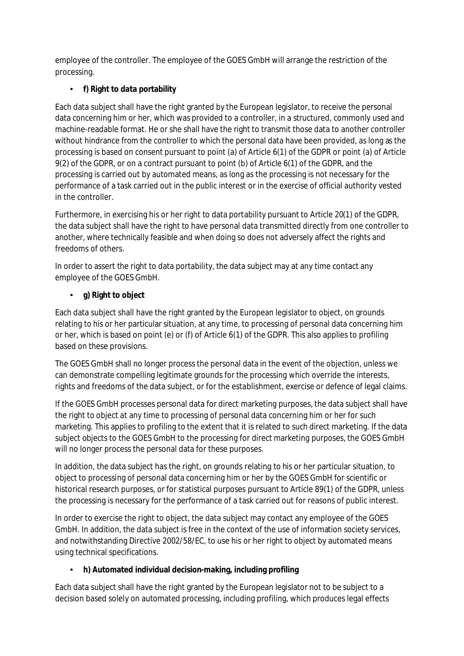employee of the controller. The employee of the GOES GmbH will arrange the restriction of the processing.

# • **f) Right to data portability**

Each data subject shall have the right granted by the European legislator, to receive the personal data concerning him or her, which was provided to a controller, in a structured, commonly used and machine-readable format. He or she shall have the right to transmit those data to another controller without hindrance from the controller to which the personal data have been provided, as long as the processing is based on consent pursuant to point (a) of Article 6(1) of the GDPR or point (a) of Article 9(2) of the GDPR, or on a contract pursuant to point (b) of Article 6(1) of the GDPR, and the processing is carried out by automated means, as long as the processing is not necessary for the performance of a task carried out in the public interest or in the exercise of official authority vested in the controller.

Furthermore, in exercising his or her right to data portability pursuant to Article 20(1) of the GDPR, the data subject shall have the right to have personal data transmitted directly from one controller to another, where technically feasible and when doing so does not adversely affect the rights and freedoms of others.

In order to assert the right to data portability, the data subject may at any time contact any employee of the GOES GmbH.

# • **g) Right to object**

Each data subject shall have the right granted by the European legislator to object, on grounds relating to his or her particular situation, at any time, to processing of personal data concerning him or her, which is based on point (e) or (f) of Article 6(1) of the GDPR. This also applies to profiling based on these provisions.

The GOES GmbH shall no longer process the personal data in the event of the objection, unless we can demonstrate compelling legitimate grounds for the processing which override the interests, rights and freedoms of the data subject, or for the establishment, exercise or defence of legal claims.

If the GOES GmbH processes personal data for direct marketing purposes, the data subject shall have the right to object at any time to processing of personal data concerning him or her for such marketing. This applies to profiling to the extent that it is related to such direct marketing. If the data subject objects to the GOES GmbH to the processing for direct marketing purposes, the GOES GmbH will no longer process the personal data for these purposes.

In addition, the data subject has the right, on grounds relating to his or her particular situation, to object to processing of personal data concerning him or her by the GOES GmbH for scientific or historical research purposes, or for statistical purposes pursuant to Article 89(1) of the GDPR, unless the processing is necessary for the performance of a task carried out for reasons of public interest.

In order to exercise the right to object, the data subject may contact any employee of the GOES GmbH. In addition, the data subject is free in the context of the use of information society services, and notwithstanding Directive 2002/58/EC, to use his or her right to object by automated means using technical specifications.

## • **h) Automated individual decision-making, including profiling**

Each data subject shall have the right granted by the European legislator not to be subject to a decision based solely on automated processing, including profiling, which produces legal effects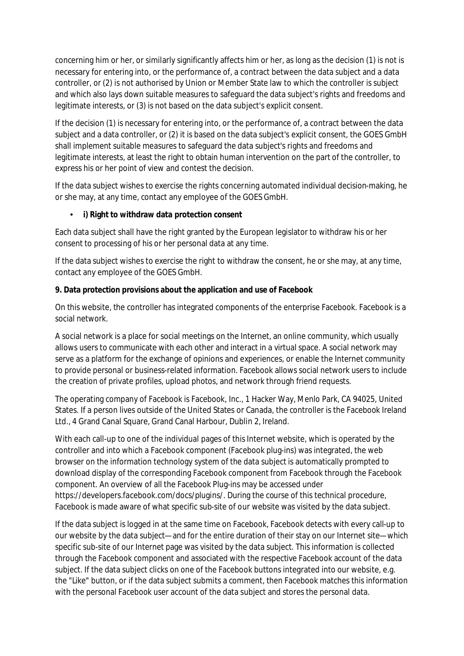concerning him or her, or similarly significantly affects him or her, as long as the decision (1) is not is necessary for entering into, or the performance of, a contract between the data subject and a data controller, or (2) is not authorised by Union or Member State law to which the controller is subject and which also lays down suitable measures to safeguard the data subject's rights and freedoms and legitimate interests, or (3) is not based on the data subject's explicit consent.

If the decision (1) is necessary for entering into, or the performance of, a contract between the data subject and a data controller, or (2) it is based on the data subject's explicit consent, the GOES GmbH shall implement suitable measures to safeguard the data subject's rights and freedoms and legitimate interests, at least the right to obtain human intervention on the part of the controller, to express his or her point of view and contest the decision.

If the data subject wishes to exercise the rights concerning automated individual decision-making, he or she may, at any time, contact any employee of the GOES GmbH.

### • **i) Right to withdraw data protection consent**

Each data subject shall have the right granted by the European legislator to withdraw his or her consent to processing of his or her personal data at any time.

If the data subject wishes to exercise the right to withdraw the consent, he or she may, at any time, contact any employee of the GOES GmbH.

#### **9. Data protection provisions about the application and use of Facebook**

On this website, the controller has integrated components of the enterprise Facebook. Facebook is a social network.

A social network is a place for social meetings on the Internet, an online community, which usually allows users to communicate with each other and interact in a virtual space. A social network may serve as a platform for the exchange of opinions and experiences, or enable the Internet community to provide personal or business-related information. Facebook allows social network users to include the creation of private profiles, upload photos, and network through friend requests.

The operating company of Facebook is Facebook, Inc., 1 Hacker Way, Menlo Park, CA 94025, United States. If a person lives outside of the United States or Canada, the controller is the Facebook Ireland Ltd., 4 Grand Canal Square, Grand Canal Harbour, Dublin 2, Ireland.

With each call-up to one of the individual pages of this Internet website, which is operated by the controller and into which a Facebook component (Facebook plug-ins) was integrated, the web browser on the information technology system of the data subject is automatically prompted to download display of the corresponding Facebook component from Facebook through the Facebook component. An overview of all the Facebook Plug-ins may be accessed under https://developers.facebook.com/docs/plugins/. During the course of this technical procedure, Facebook is made aware of what specific sub-site of our website was visited by the data subject.

If the data subject is logged in at the same time on Facebook, Facebook detects with every call-up to our website by the data subject— and for the entire duration of their stay on our Internet site— which specific sub-site of our Internet page was visited by the data subject. This information is collected through the Facebook component and associated with the respective Facebook account of the data subject. If the data subject clicks on one of the Facebook buttons integrated into our website, e.g. the "Like" button, or if the data subject submits a comment, then Facebook matches this information with the personal Facebook user account of the data subject and stores the personal data.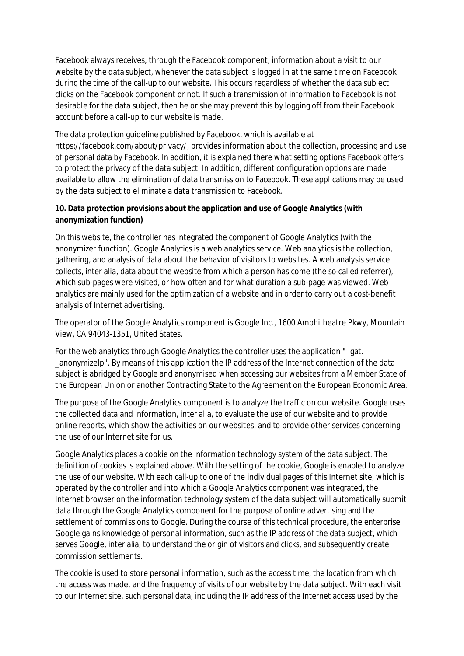Facebook always receives, through the Facebook component, information about a visit to our website by the data subject, whenever the data subject is logged in at the same time on Facebook during the time of the call-up to our website. This occurs regardless of whether the data subject clicks on the Facebook component or not. If such a transmission of information to Facebook is not desirable for the data subject, then he or she may prevent this by logging off from their Facebook account before a call-up to our website is made.

The data protection guideline published by Facebook, which is available at https://facebook.com/about/privacy/, provides information about the collection, processing and use of personal data by Facebook. In addition, it is explained there what setting options Facebook offers to protect the privacy of the data subject. In addition, different configuration options are made available to allow the elimination of data transmission to Facebook. These applications may be used by the data subject to eliminate a data transmission to Facebook.

### **10. Data protection provisions about the application and use of Google Analytics (with anonymization function)**

On this website, the controller has integrated the component of Google Analytics (with the anonymizer function). Google Analytics is a web analytics service. Web analytics is the collection, gathering, and analysis of data about the behavior of visitors to websites. A web analysis service collects, inter alia, data about the website from which a person has come (the so-called referrer), which sub-pages were visited, or how often and for what duration a sub-page was viewed. Web analytics are mainly used for the optimization of a website and in order to carry out a cost-benefit analysis of Internet advertising.

The operator of the Google Analytics component is Google Inc., 1600 Amphitheatre Pkwy, Mountain View, CA 94043-1351, United States.

For the web analytics through Google Analytics the controller uses the application "\_gat. \_anonymizeIp". By means of this application the IP address of the Internet connection of the data subject is abridged by Google and anonymised when accessing our websites from a Member State of the European Union or another Contracting State to the Agreement on the European Economic Area.

The purpose of the Google Analytics component is to analyze the traffic on our website. Google uses the collected data and information, inter alia, to evaluate the use of our website and to provide online reports, which show the activities on our websites, and to provide other services concerning the use of our Internet site for us.

Google Analytics places a cookie on the information technology system of the data subject. The definition of cookies is explained above. With the setting of the cookie, Google is enabled to analyze the use of our website. With each call-up to one of the individual pages of this Internet site, which is operated by the controller and into which a Google Analytics component was integrated, the Internet browser on the information technology system of the data subject will automatically submit data through the Google Analytics component for the purpose of online advertising and the settlement of commissions to Google. During the course of this technical procedure, the enterprise Google gains knowledge of personal information, such as the IP address of the data subject, which serves Google, inter alia, to understand the origin of visitors and clicks, and subsequently create commission settlements.

The cookie is used to store personal information, such as the access time, the location from which the access was made, and the frequency of visits of our website by the data subject. With each visit to our Internet site, such personal data, including the IP address of the Internet access used by the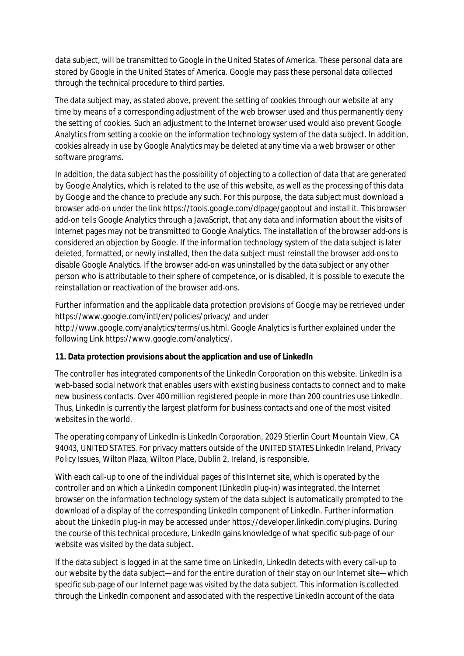data subject, will be transmitted to Google in the United States of America. These personal data are stored by Google in the United States of America. Google may pass these personal data collected through the technical procedure to third parties.

The data subject may, as stated above, prevent the setting of cookies through our website at any time by means of a corresponding adjustment of the web browser used and thus permanently deny the setting of cookies. Such an adjustment to the Internet browser used would also prevent Google Analytics from setting a cookie on the information technology system of the data subject. In addition, cookies already in use by Google Analytics may be deleted at any time via a web browser or other software programs.

In addition, the data subject has the possibility of objecting to a collection of data that are generated by Google Analytics, which is related to the use of this website, as well as the processing ofthis data by Google and the chance to preclude any such. For this purpose, the data subject must download a browser add-on under the link https://tools.google.com/dlpage/gaoptout and install it. This browser add-on tells Google Analytics through a JavaScript, that any data and information about the visits of Internet pages may not be transmitted to Google Analytics. The installation of the browser add-ons is considered an objection by Google. If the information technology system of the data subject is later deleted, formatted, or newly installed, then the data subject must reinstall the browser add-ons to disable Google Analytics. If the browser add-on was uninstalled by the data subject or any other person who is attributable to their sphere of competence, or is disabled, it is possible to execute the reinstallation or reactivation of the browser add-ons.

Further information and the applicable data protection provisions of Google may be retrieved under https://www.google.com/intl/en/policies/privacy/ and under [http://www.google.com/analytics/terms/us.html.](http://www.google.com/analytics/terms/us.html) Google Analytics is further explained under the following Link https://www.google.com/analytics/.

### **11. Data protection provisions about the application and use of LinkedIn**

The controller has integrated components of the LinkedIn Corporation on this website. LinkedIn is a web-based social network that enables users with existing business contacts to connect and to make new business contacts. Over 400 million registered people in more than 200 countries use LinkedIn. Thus, LinkedIn is currently the largest platform for business contacts and one of the most visited websites in the world.

The operating company of LinkedIn is LinkedIn Corporation, 2029 Stierlin Court Mountain View, CA 94043, UNITED STATES. For privacy matters outside of the UNITED STATES LinkedIn Ireland, Privacy Policy Issues, Wilton Plaza, Wilton Place, Dublin 2, Ireland, is responsible.

With each call-up to one of the individual pages of this Internet site, which is operated by the controller and on which a LinkedIn component (LinkedIn plug-in) was integrated, the Internet browser on the information technology system of the data subject is automatically prompted to the download of a display of the corresponding LinkedIn component of LinkedIn. Further information about the LinkedIn plug-in may be accessed under https://developer.linkedin.com/plugins. During the course of this technical procedure, LinkedIn gains knowledge of what specific sub-page of our website was visited by the data subject.

If the data subject is logged in at the same time on LinkedIn, LinkedIn detects with every call-up to our website by the data subject— and for the entire duration of their stay on our Internet site— which specific sub-page of our Internet page was visited by the data subject. This information is collected through the LinkedIn component and associated with the respective LinkedIn account of the data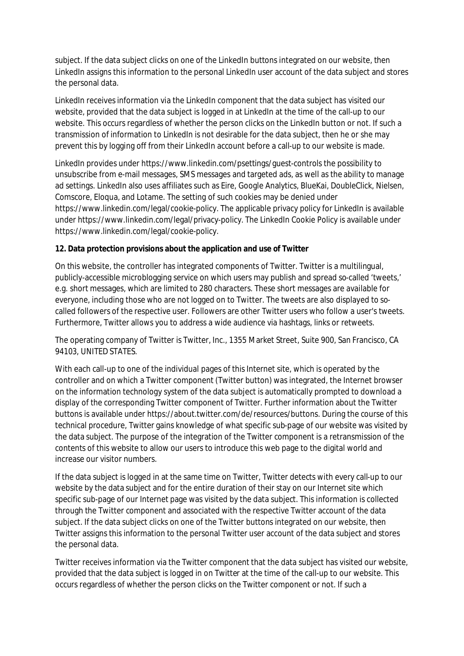subject. If the data subject clicks on one of the LinkedIn buttons integrated on our website, then LinkedIn assigns this information to the personal LinkedIn user account of the data subject and stores the personal data.

LinkedIn receives information via the LinkedIn component that the data subject has visited our website, provided that the data subject is logged in at LinkedIn at the time of the call-up to our website. This occurs regardless of whether the person clicks on the LinkedIn button or not. If such a transmission of information to LinkedIn is not desirable for the data subject, then he or she may prevent this by logging off from their LinkedIn account before a call-up to our website is made.

LinkedIn provides under https://www.linkedin.com/psettings/guest-controls the possibility to unsubscribe from e-mail messages, SMS messages and targeted ads, as well as the ability to manage ad settings. LinkedIn also uses affiliates such as Eire, Google Analytics, BlueKai, DoubleClick, Nielsen, Comscore, Eloqua, and Lotame. The setting of such cookies may be denied under https://www.linkedin.com/legal/cookie-policy. The applicable privacy policy for LinkedIn is available under https://www.linkedin.com/legal/privacy-policy. The LinkedIn Cookie Policy is available under https://www.linkedin.com/legal/cookie-policy.

### **12. Data protection provisions about the application and use of Twitter**

On this website, the controller has integrated components of Twitter. Twitter is a multilingual, publicly-accessible microblogging service on which users may publish and spread so-called 'tweets,' e.g. short messages, which are limited to 280 characters. These short messages are available for everyone, including those who are not logged on to Twitter. The tweets are also displayed to socalled followers of the respective user. Followers are other Twitter users who follow a user's tweets. Furthermore, Twitter allows you to address a wide audience via hashtags, links or retweets.

The operating company of Twitter is Twitter, Inc., 1355 Market Street, Suite 900, San Francisco, CA 94103, UNITED STATES.

With each call-up to one of the individual pages of this Internet site, which is operated by the controller and on which a Twitter component (Twitter button) was integrated, the Internet browser on the information technology system of the data subject is automatically prompted to download a display of the corresponding Twitter component of Twitter. Further information about the Twitter buttons is available under https://about.twitter.com/de/resources/buttons. During the course of this technical procedure, Twitter gains knowledge of what specific sub-page of our website was visited by the data subject. The purpose of the integration of the Twitter component is a retransmission of the contents of this website to allow our users to introduce this web page to the digital world and increase our visitor numbers.

If the data subject is logged in at the same time on Twitter, Twitter detects with every call-up to our website by the data subject and for the entire duration of their stay on our Internet site which specific sub-page of our Internet page was visited by the data subject. This information is collected through the Twitter component and associated with the respective Twitter account of the data subject. If the data subject clicks on one of the Twitter buttons integrated on our website, then Twitter assigns this information to the personal Twitter user account of the data subject and stores the personal data.

Twitter receives information via the Twitter component that the data subject has visited our website, provided that the data subject is logged in on Twitter at the time of the call-up to our website. This occurs regardless of whether the person clicks on the Twitter component or not. If such a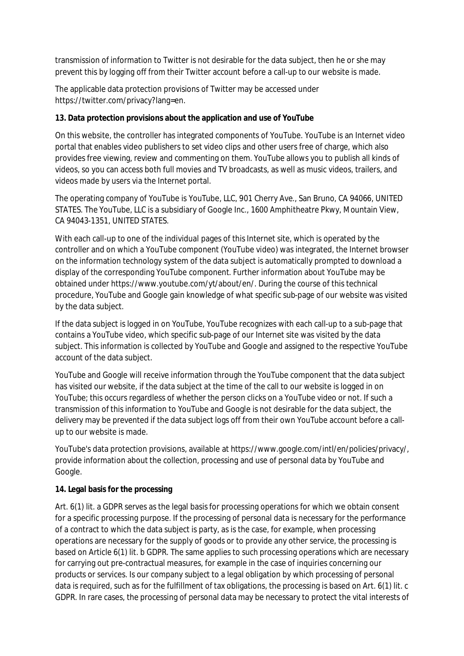transmission of information to Twitter is not desirable for the data subject, then he or she may prevent this by logging off from their Twitter account before a call-up to our website is made.

The applicable data protection provisions of Twitter may be accessed under https://twitter.com/privacy?lang=en.

### **13. Data protection provisions about the application and use of YouTube**

On this website, the controller has integrated components of YouTube. YouTube is an Internet video portal that enables video publishers to set video clips and other users free of charge, which also provides free viewing, review and commenting on them. YouTube allows you to publish all kinds of videos, so you can access both full movies and TV broadcasts, as well as music videos, trailers, and videos made by users via the Internet portal.

The operating company of YouTube is YouTube, LLC, 901 Cherry Ave., San Bruno, CA 94066, UNITED STATES. The YouTube, LLC is a subsidiary of Google Inc., 1600 Amphitheatre Pkwy, Mountain View, CA 94043-1351, UNITED STATES.

With each call-up to one of the individual pages of this Internet site, which is operated by the controller and on which a YouTube component (YouTube video) was integrated, the Internet browser on the information technology system of the data subject is automatically prompted to download a display of the corresponding YouTube component. Further information about YouTube may be obtained under https://www.youtube.com/yt/about/en/. During the course of this technical procedure, YouTube and Google gain knowledge of what specific sub-page of our website was visited by the data subject.

If the data subject is logged in on YouTube, YouTube recognizes with each call-up to a sub-page that contains a YouTube video, which specific sub-page of our Internet site was visited by the data subject. This information is collected by YouTube and Google and assigned to the respective YouTube account of the data subject.

YouTube and Google will receive information through the YouTube component that the data subject has visited our website, if the data subject at the time of the call to our website is logged in on YouTube; this occurs regardless of whether the person clicks on a YouTube video or not. If such a transmission of this information to YouTube and Google is not desirable for the data subject, the delivery may be prevented if the data subject logs off from their own YouTube account before a call up to our website is made.

YouTube's data protection provisions, available at https://www.google.com/intl/en/policies/privacy/, provide information about the collection, processing and use of personal data by YouTube and Google.

### **14. Legal basis for the processing**

Art. 6(1) lit. a GDPR serves as the legal basis for processing operations for which we obtain consent for a specific processing purpose. If the processing of personal data is necessary for the performance of a contract to which the data subject is party, as is the case, for example, when processing operations are necessary for the supply of goods or to provide any other service, the processing is based on Article 6(1) lit. b GDPR. The same applies to such processing operations which are necessary for carrying out pre-contractual measures, for example in the case of inquiries concerning our products or services. Is our company subject to a legal obligation by which processing of personal data is required, such as for the fulfillment of tax obligations, the processing is based on Art. 6(1) lit. c GDPR. In rare cases, the processing of personal data may be necessary to protect the vital interests of